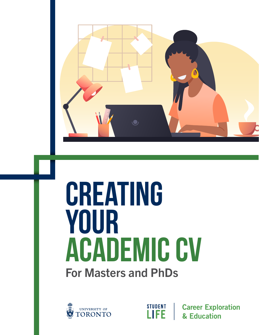

# **creating your academic CV** For Masters and PhDs



**STUDENT LIFE** 

**Career Exploration** & Education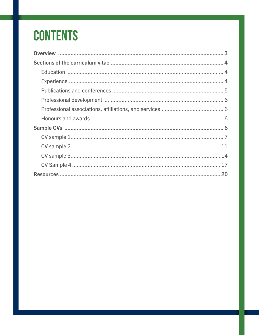## **CONTENTS**

| Honours and awards <b>constructed</b> and a construction of the construction of the Honours and awards |
|--------------------------------------------------------------------------------------------------------|
|                                                                                                        |
|                                                                                                        |
|                                                                                                        |
|                                                                                                        |
|                                                                                                        |
|                                                                                                        |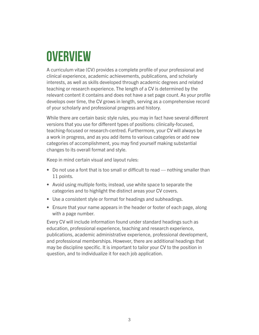## <span id="page-2-0"></span>**Overview**

A curriculum vitae (CV) provides a complete profile of your professional and clinical experience, academic achievements, publications, and scholarly interests, as well as skills developed through academic degrees and related teaching or research experience. The length of a CV is determined by the relevant content it contains and does not have a set page count. As your profile develops over time, the CV grows in length, serving as a comprehensive record of your scholarly and professional progress and history.

While there are certain basic style rules, you may in fact have several different versions that you use for different types of positions: clinically-focused, teaching-focused or research-centred. Furthermore, your CV will always be a work in progress, and as you add items to various categories or add new categories of accomplishment, you may find yourself making substantial changes to its overall format and style.

Keep in mind certain visual and layout rules:

- Do not use a font that is too small or difficult to read nothing smaller than 11 points.
- Avoid using multiple fonts; instead, use white space to separate the categories and to highlight the distinct areas your CV covers.
- Use a consistent style or format for headings and subheadings.
- Ensure that your name appears in the header or footer of each page, along with a page number.

Every CV will include information found under standard headings such as education, professional experience, teaching and research experience, publications, academic administrative experience, professional development, and professional memberships. However, there are additional headings that may be discipline specific. It is important to tailor your CV to the position in question, and to individualize it for each job application.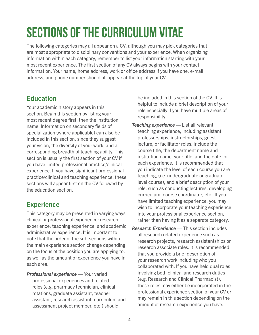## <span id="page-3-0"></span>**Sections of the curriculum vitae**

The following categories may all appear on a CV, although you may pick categories that are most appropriate to disciplinary conventions and your experience. When organizing information within each category, remember to list your information starting with your most recent experience. The first section of any CV always begins with your contact information. Your name, home address, work or office address if you have one, e-mail address, and phone number should all appear at the top of your CV.

## Education

Your academic history appears in this section. Begin this section by listing your most recent degree first, then the institution name. Information on secondary fields of specialization (where applicable) can also be included in this section, since they suggest your vision, the diversity of your work, and a corresponding breadth of teaching ability. This section is usually the first section of your CV if you have limited professional practice/clinical experience. If you have significant professional practice/clinical and teaching experience, these sections will appear first on the CV followed by the education section.

## **Experience**

This category may be presented in varying ways: clinical or professional experience; research experience; teaching experience; and academic administrative experience. It is important to note that the order of the sub-sections within the main experience section change depending on the focus of the position you are applying to, as well as the amount of experience you have in each area.

*Professional experience* — Your varied professional experiences and related roles (e.g. pharmacy technician, clinical rotations, graduate assistant, teacher assistant, research assistant, curriculum and assessment project member, etc.) should

be included in this section of the CV. It is helpful to include a brief description of your role especially if you have multiple areas of responsibility.

- *Teaching experience* List all relevant teaching experience, including assistant professorships, instructorships, guest lecture, or facilitator roles. Include the course title, the department name and institution name, your title, and the date for each experience. It is recommended that you indicate the level of each course you are teaching, (i.e. undergraduate or graduate level course), and a brief description of your role, such as conducting lectures, developing curriculum, course coordinator, etc. If you have limited teaching experience, you may wish to incorporate your teaching experience into your professional experience section, rather than having it as a separate category.
- *Research Experience*  This section includes all research related experience such as research projects, research assistantships or research associate roles. It is recommended that you provide a brief description of your research work including who you collaborated with. If you have held dual roles involving both clinical and research duties (e.g. Research and Clinical Pharmacist), these roles may either be incorporated in the professional experience section of your CV or may remain in this section depending on the amount of research experience you have.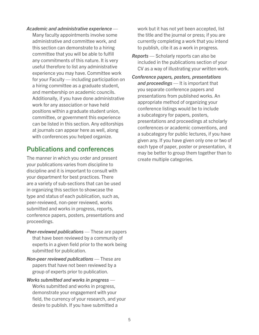<span id="page-4-0"></span>*Academic and administrative experience* — Many faculty appointments involve some administrative and committee work, and this section can demonstrate to a hiring committee that you will be able to fulfill any commitments of this nature. It is very useful therefore to list any administrative experience you may have. Committee work for your Faculty — including participation on a hiring committee as a graduate student, and membership on academic councils. Additionally, if you have done administrative work for any association or have held positions within a graduate student union, committee, or government this experience can be listed in this section. Any editorships at journals can appear here as well, along with conferences you helped organize.

### Publications and conferences

The manner in which you order and present your publications varies from discipline to discipline and it is important to consult with your department for best practices. There are a variety of sub-sections that can be used in organizing this section to showcase the type and status of each publication, such as, peer-reviewed, non-peer reviewed, works submitted and works in progress, reports, conference papers, posters, presentations and proceedings.

- *Peer-reviewed publications*  These are papers that have been reviewed by a community of experts in a given field prior to the work being submitted for publication.
- *Non-peer reviewed publications*  These are papers that have not been reviewed by a group of experts prior to publication.
- *Works submitted and works in progress*  Works submitted and works in progress, demonstrate your engagement with your field, the currency of your research, and your desire to publish. If you have submitted a

work but it has not yet been accepted, list the title and the journal or press; if you are currently completing a work that you intend to publish, cite it as a work in progress.

- *Reports*  Scholarly reports can also be included in the publications section of your CV as a way of illustrating your written work.
- *Conference papers, posters, presentations and proceedings* — It is important that you separate conference papers and presentations from published works. An appropriate method of organizing your conference listings would be to include a subcategory for papers, posters, presentations and proceedings at scholarly conferences or academic conventions, and a subcategory for public lectures, if you have given any. If you have given only one or two of each type of paper, poster or presentation, it may be better to group them together than to create multiple categories.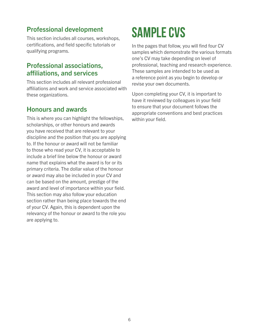## <span id="page-5-0"></span>Professional development

This section includes all courses, workshops, certifications, and field specific tutorials or qualifying programs.

### Professional associations, affiliations, and services

This section includes all relevant professional affiliations and work and service associated with these organizations.

### Honours and awards

This is where you can highlight the fellowships, scholarships, or other honours and awards you have received that are relevant to your discipline and the position that you are applying to. If the honour or award will not be familiar to those who read your CV, it is acceptable to include a brief line below the honour or award name that explains what the award is for or its primary criteria. The dollar value of the honour or award may also be included in your CV and can be based on the amount, prestige of the award and level of importance within your field. This section may also follow your education section rather than being place towards the end of your CV. Again, this is dependent upon the relevancy of the honour or award to the role you are applying to.

## **Sample CVs**

In the pages that follow, you will find four CV samples which demonstrate the various formats one's CV may take depending on level of professional, teaching and research experience. These samples are intended to be used as a reference point as you begin to develop or revise your own documents.

Upon completing your CV, it is important to have it reviewed by colleagues in your field to ensure that your document follows the appropriate conventions and best practices within your field.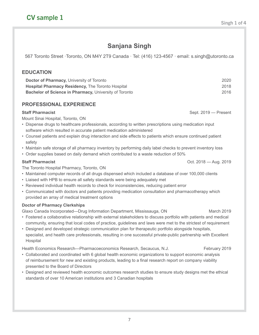## **Sanjana Singh**

<span id="page-6-0"></span>567 Toronto Street ·Toronto, ON M4Y 2T9 Canada · Tel: (416) 123-4567 · email: s.singh@utoronto.ca

#### **EDUCATION**

**Doctor of Pharmacy,** University of Toronto 2020 **Hospital Pharmacy Residency,** The Toronto Hospital 2018 **Bachelor of Science in Pharmacy, University of Toronto 2016** 2016

#### **PROFESSIONAL EXPERIENCE**

Mount Sinai Hospital, Toronto, ON

- Dispense drugs to healthcare professionals, according to written prescriptions using medication input software which resulted in accurate patient medication administered
- Counsel patients and explain drug interaction and side effects to patients which ensure continued patient safety
- Maintain safe storage of all pharmacy inventory by performing daily label checks to prevent inventory loss
- Order supplies based on daily demand which contributed to a waste reduction of 50%

#### **Staff Pharmacist** Oct. 2018 — Aug. 2019

The Toronto Hospital Pharmacy, Toronto, ON

- Maintained computer records of all drugs dispensed which included a database of over 100,000 clients
- Liaised with HPB to ensure all safety standards were being adequately met
- Reviewed individual health records to check for inconsistencies, reducing patient error
- Communicated with doctors and patients providing medication consultation and pharmacotherapy which provided an array of medical treatment options

#### **Doctor of Pharmacy Clerkships**

Glaxo Canada Incorporated—Drug Information Department, Mississauga, ON March 2019

- Fostered a collaborative relationship with external stakeholders to discuss portfolio with patients and medical community, ensuring that local codes of practice, guidelines and laws were met to the strictest of requirement
- Designed and developed strategic communication plan for therapeutic portfolio alongside hospitals, specialist, and health care professionals, resulting in one successful private-public partnership with Excellent Hospital

Health Economics Research—Pharmacoeconomics Research, Secaucus, N.J. February 2019

- Collaborated and coordinated with 6 global health economic organizations to support economic analysis of reimbursement for new and existing products, leading to a final research report on company viability presented to the Board of Directors
- Designed and reviewed health economic outcomes research studies to ensure study designs met the ethical standards of over 10 American institutions and 3 Canadian hospitals

**Staff Pharmacist** State Sept. 2019 — Present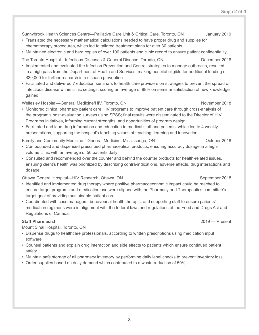8

Sunnybrook Health Sciences Centre—Palliative Care Unit & Critical Care, Toronto, ON January 2019

- Translated the necessary mathematical calculations needed to have proper drug and supplies for chemotherapy procedures, which led to tailored treatment plans for over 30 patients
- Maintained electronic and hard copies of over 100 patients and clinic record to ensure patient confidentiality

The Toronto Hospital—Infectious Diseases & General Disease, Toronto, ON December 2018

- Implemented and evaluated the Infection Prevention and Control strategies to manage outbreaks, resulted in a high pass from the Department of Health and Services; making hospital eligible for additional funding of \$30,000 for further research into disease prevention
- Facilitated and delivered 7 education seminars to health care providers on strategies to prevent the spread of infectious disease within clinic settings, scoring an average of 88% on seminar satisfaction of new knowledge gained

Wellesley Hospital—General Medicine/HIV, Toronto, ON November 2018

- Monitored clinical pharmacy patient care HIV programs to improve patient care through cross-analysis of the program's post-evaluation surveys using SPSS; final results were disseminated to the Director of HIV Programs Initiatives, informing current strengths, and opportunities of program design
- Facilitated and lead drug information and education to medical staff and patients, which led to 4 weekly presentations, supporting the hospital's teaching values of teaching, learning and innovation
- Family and Community Medicine—General Medicine, Mississauga, ON October 2018
- Compounded and dispensed prescribed pharmaceutical products, ensuring accuracy dosage in a highvolume clinic with an average of 50 patients daily
- Consulted and recommended over the counter and behind the counter products for health-related issues, ensuring client's health was prioritized by describing contra-indications, adverse effects, drug interactions and dosage

Ottawa General Hospital—HIV Research, Ottawa, ON September 2018

- Identified and implemented drug therapy where positive pharmacoeconomic impact could be reached to ensure target programs and medication use were aligned with the Pharmacy and Therapeutics committee's target goal of providing sustainable patient care
- Coordinated with case managers, behavourial health therapist and supporting staff to ensure patients' medication regimens were in alignment with the federal laws and regulations of the Food and Drugs Act and Regulations of Canada

#### **Staff Pharmacist** 2019 — Present

Mount Sinai Hospital, Toronto, ON

- Dispense drugs to healthcare professionals, according to written prescriptions using medication input software
- Counsel patients and explain drug interaction and side effects to patients which ensure continued patient safety
- Maintain safe storage of all pharmacy inventory by performing daily label checks to prevent inventory loss
- Order supplies based on daily demand which contributed to a waste reduction of 50%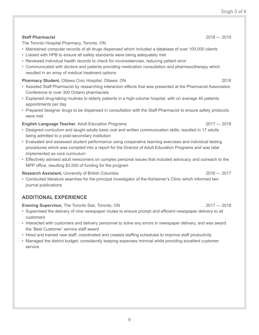9

## The Toronto Hospital Pharmacy, Toronto, ON

- Maintained computer records of all drugs dispensed which included a database of over 100,000 clients
- Liaised with HPB to ensure all safety standards were being adequately met
- Reviewed individual health records to check for inconsistencies, reducing patient error
- Communicated with doctors and patients providing medication consultation and pharmacotherapy which resulted in an array of medical treatment options

#### **Pharmacy Student, Ottawa Civic Hospital, Ottawa, ON 2018** 2018

• Assisted Staff Pharmacist by researching interaction effects that was presented at the Pharmacist Association Conference to over 300 Ontario pharmacists

**Staff Pharmacist** 2018 — 2019

- Explained drug-taking routines to elderly patients in a high-volume hospital, with on average 40 patients appointments per day
- Prepared designer drugs to be dispensed in consultation with the Staff Pharmacist to ensure safety protocols were met

#### **English Language Teacher**, Adult Education Programs 2017 — 2018

- Designed curriculum and taught adults basic oral and written communication skills, resulted in 17 adults being admitted to a post-secondary institution
- Evaluated and assessed student performance using cooperative learning exercises and individual testing procedures which was compiled into a report for the Director of Adult Education Programs and was later implemented as core curriculum
- Effectively advised adult newcomers on complex personal issues that included advocacy and outreach to the MPP office, resulting \$3,000 of funding for the program

#### **Research Assistant,** University of British Columbia 2016 **2016** 2016 - 2017

• Conducted literature searches for the principal investigator of the Alzheimer's Clinic which informed two journal publications

#### **ADDITIONAL EXPERIENCE**

#### **Evening Supervisor,** The Toronto Star, Toronto, ON 2017 — 2018

- Supervised the delivery of nine newspaper routes to ensure prompt and efficient newspaper delivery to all customers
- Interacted with customers and delivery personnel to solve any errors in newspaper delivery, and was award the 'Best Customer' service staff award
- Hired and trained new staff; coordinated and created staffing schedules to improve staff productivity
- Managed the district budget, consistently keeping expenses minimal while providing excellent customer service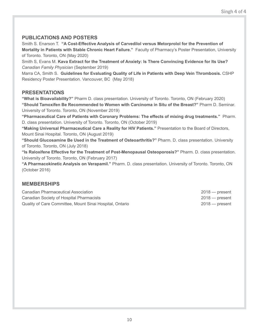#### **PUBLICATIONS AND POSTERS**

Smith S. Enarson T. **"A Cost-Effective Analysis of Carvedilol versus Metorprolol for the Prevention of Mortality in Patients with Stable Chronic Heart Failure."** Faculty of Pharmacy's Poster Presentation, University of Toronto. Toronto, ON (May 2020)

Smith S, Evans M. **Kava Extract for the Treatment of Anxiety: Is There Convincing Evidence for Its Use?**  *Canadian Family Physician* (September 2019)

Marra CA, Smith S. **Guidelines for Evaluating Quality of Life in Patients with Deep Vein Thrombosis.** CSHP Residency Poster Presentation. Vancouver, BC (May 2018)

#### **PRESENTATIONS**

**"What is Bioavailability?"** Pharm D. class presentation. University of Toronto. Toronto, ON (February 2020) **"Should Tamoxifen Be Recommended to Women with Carcinoma in Situ of the Breast?"** Pharm D. Seminar. University of Toronto. Toronto, ON (November 2019)

**"Pharmaceutical Care of Patients with Coronary Problems: The effects of mixing drug treatments."** Pharm. D. class presentation. University of Toronto. Toronto, ON (October 2019)

**"Making Universal Pharmaceutical Care a Reality for HIV Patients."** Presentation to the Board of Directors, Mount Sinai Hospital. Toronto, ON (August 2019)

**"Should Glucosamine Be Used in the Treatment of Osteoarthritis?"** Pharm. D. class presentation. University of Toronto. Toronto, ON (July 2018)

**"Is Raloxifene Effective for the Treatment of Post-Menopausal Osteoporosis?"** Pharm. D. class presentation. University of Toronto. Toronto, ON (February 2017)

**"A Pharmacokinetic Analysis on Verapamil."** Pharm. D. class presentation. University of Toronto. Toronto, ON (October 2016)

#### **MEMBERSHIPS**

| Canadian Pharmaceutical Association                      | $2018$ — present |
|----------------------------------------------------------|------------------|
| Canadian Society of Hospital Pharmacists                 | $2018$ — present |
| Quality of Care Committee, Mount Sinai Hospital, Ontario | $2018$ — present |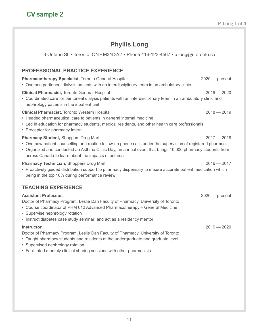### **Phyllis Long**

<span id="page-10-0"></span>3 Ontario St. • Toronto, ON • M3N 3Y7 • Phone 416-123-4567 • p.long@utoronto.ca

#### **PROFESSIONAL PRACTICE EXPERIENCE**

#### **Pharmacotherapy Specialist, Toronto General Hospital 2020 — 2020 — present** • Oversee peritoneal dialysis patients with an interdisciplinary team in an ambulatory clinic

#### **Clinical Pharmacist,** Toronto General Hospital 2019 — 2020

• Coordinated care for peritoneal dialysis patients with an interdisciplinary team in an ambulatory clinic and nephrology patients in the inpatient unit

#### **Clinical Pharmacist**, Toronto Western Hospital 2018 — 2019

- Headed pharmaceutical care to patients in general internal medicine
- Led in education for pharmacy students, medical residents, and other health care professionals
- Preceptor for pharmacy intern

#### **Pharmacy Student, Shoppers Drug Mart 2017 — 2018**

- Oversaw patient counselling and routine follow-up phone calls under the supervision of registered pharmacist
- Organized and conducted an Asthma Clinic Day, an annual event that brings 10,000 pharmacy students from across Canada to learn about the impacts of asthma

#### **Pharmacy Technician**, Shoppers Drug Mart 2016 — 2017 2016 — 2017

• Proactively guided distribution support to pharmacy dispensary to ensure accurate patient medication which being in the top 10% during performance review

#### **TEACHING EXPERIENCE**

| <b>Assistant Professor,</b>                                                       | $2020$ — present |
|-----------------------------------------------------------------------------------|------------------|
| Doctor of Pharmacy Program, Leslie Dan Faculty of Pharmacy, University of Toronto |                  |
| • Course coordinator of PHM 612 Advanced Pharmacotherapy – General Medicine I     |                  |
| • Supervise nephrology rotation                                                   |                  |
| • Instruct diabetes case study seminar; and act as a residency mentor             |                  |
| Instructor,                                                                       | $2019 - 2020$    |
| Doctor of Pharmacy Program, Leslie Dan Faculty of Pharmacy, University of Toronto |                  |
| • Taught pharmacy students and residents at the undergraduate and graduate level  |                  |

- Supervised nephrology rotation
- Facilitated monthly clinical sharing sessions with other pharmacists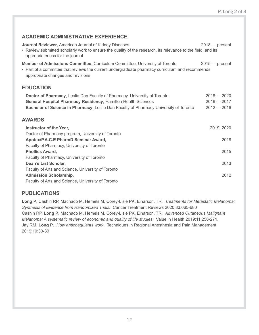#### **ACADEMIC ADMINISTRATIVE EXPERIENCE**

| Journal Reviewer, American Journal of Kidney Diseases<br>• Review submitted scholarly work to ensure the quality of the research, its relevance to the field, and its<br>appropriateness for the journal                                   | $2018$ - present                                |
|--------------------------------------------------------------------------------------------------------------------------------------------------------------------------------------------------------------------------------------------|-------------------------------------------------|
| <b>Member of Admissions Committee, Curriculum Committee, University of Toronto</b><br>• Part of a committee that reviews the current undergraduate pharmacy curriculum and recommends<br>appropriate changes and revisions                 | $2015 -$ present                                |
| <b>EDUCATION</b>                                                                                                                                                                                                                           |                                                 |
| Doctor of Pharmacy, Leslie Dan Faculty of Pharmacy, University of Toronto<br><b>General Hospital Pharmacy Residency, Hamilton Health Sciences</b><br>Bachelor of Science in Pharmacy, Leslie Dan Faculty of Pharmacy University of Toronto | $2018 - 2020$<br>$2016 - 2017$<br>$2012 - 2016$ |
| <b>AWARDS</b>                                                                                                                                                                                                                              |                                                 |
| <b>Instructor of the Year,</b>                                                                                                                                                                                                             | 2019, 2020                                      |
| Doctor of Pharmacy program, University of Toronto                                                                                                                                                                                          |                                                 |
| Apotex/P.A.C.E PharmD Seminar Award,                                                                                                                                                                                                       | 2018                                            |
| Faculty of Pharmacy, University of Toronto                                                                                                                                                                                                 |                                                 |
| <b>Phollies Award,</b>                                                                                                                                                                                                                     | 2015                                            |
| Faculty of Pharmacy, University of Toronto                                                                                                                                                                                                 |                                                 |
| Dean's List Scholar,                                                                                                                                                                                                                       | 2013                                            |
| Faculty of Arts and Science, University of Toronto                                                                                                                                                                                         |                                                 |
| <b>Admission Scholarship,</b>                                                                                                                                                                                                              | 2012                                            |
| Faculty of Arts and Science, University of Toronto                                                                                                                                                                                         |                                                 |

#### **PUBLICATIONS**

**Long P**, Cashin RP, Machado M, Hemels M, Corey-Lisle PK, Einarson, TR. *Treatments for Metastatic Melanoma: Synthesis of Evidence from Randomized Trials.* Cancer Treatment Reviews 2020;33:665-680 Cashin RP, **Long P**, Machado M, Hemels M, Corey-Lisle PK, Einarson, TR. *Advanced Cutaneous Malignant Melanoma: A systematic review of economic and quality of life studies.* Value in Health 2019;11:256-271. Jay RM, **Long P**. *How anticoagulants work.* Techniques in Regional Anesthesia and Pain Management 2019;10:30-39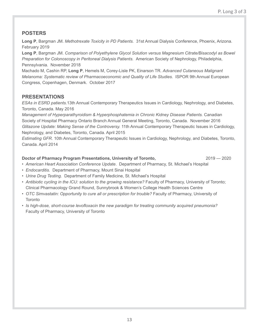#### **POSTERS**

**Long P**, Bargman JM. *Methotrexate Toxicity in PD Patients.* 31st Annual Dialysis Conference, Phoenix, Arizona. February 2019

**Long P**, Bargman JM. *Comparison of Polyethylene Glycol Solution versus Magnesium Citrate/Bisacodyl as Bowel Preparation for Colonoscopy in Peritoneal Dialysis Patients.* American Society of Nephrology, Philadelphia, Pennsylvania. November 2018

Machado M, Cashin RP, **Long P**, Hemels M, Corey-Lisle PK, Einarson TR. *Advanced Cutaneous Malignant Melanoma: Systematic review of Pharmacoeconomic and Quality of Life Studies.* ISPOR 9th Annual European Congress, Copenhagen, Denmark. October 2017

#### **PRESENTATIONS**

*ESAs in ESRD patients.*13th Annual Contemporary Therapeutics Issues in Cardiology, Nephrology, and Diabetes, Toronto, Canada. May 2016

*Management of Hyperparathyroidism & Hyperphosphatemia in Chronic Kidney Disease Patients.* Canadian Society of Hospital Pharmacy Ontario Branch Annual General Meeting, Toronto, Canada. November 2016 *Glitazone Update: Making Sense of the Controversy.* 11th Annual Contemporary Therapeutic Issues in Cardiology, Nephrology, and Diabetes, Toronto, Canada. April 2015

*Estimating GFR.* 10th Annual Contemporary Therapeutic Issues in Cardiology, Nephrology, and Diabetes, Toronto, Canada. April 2014

#### **Doctor of Pharmacy Program Presentations, University of Toronto, 2019 - 2019 - 2020**

- *• American Heart Association Conference Update*. Department of Pharmacy, St. Michael's Hospital
- *• Endocarditis.* Department of Pharmacy, Mount Sinai Hospital
- *• Urine Drug Testing.* Department of Family Medicine, St. Michael's Hospital
- Antibiotic cycling in the ICU: solution to the growing resistance? Faculty of Pharmacy, University of Toronto; Clinical Pharmacology Grand Round, Sunnybrook & Women's College Health Sciences Centre
- *• OTC Simvastatin: Opportunity to cure all or prescription for trouble?* Faculty of Pharmacy, University of **Toronto**
- *• Is high-dose, short-course levofloxacin the new paradigm for treating community acquired pneumonia?*  Faculty of Pharmacy, University of Toronto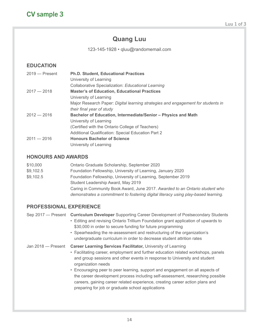### **Quang Luu**

123-145-1928 • qluu@randomemail.com

#### <span id="page-13-0"></span>**EDUCATION**

| $2019 -$ Present | <b>Ph.D. Student, Educational Practices</b>                                      |
|------------------|----------------------------------------------------------------------------------|
|                  | University of Learning                                                           |
|                  | Collaborative Specialization: Educational Learning                               |
| $2017 - 2018$    | <b>Master's of Education, Educational Practices</b>                              |
|                  | University of Learning                                                           |
|                  | Major Research Paper: Digital learning strategies and engagement for students in |
|                  | their final year of study                                                        |
| $2012 - 2016$    | Bachelor of Education, Intermediate/Senior - Physics and Math                    |
|                  | University of Learning                                                           |
|                  | (Certified with the Ontario College of Teachers)                                 |
|                  | <b>Additional Qualification: Special Education Part 2</b>                        |
| $2011 - 2016$    | <b>Honours Bachelor of Science</b>                                               |
|                  | University of Learning                                                           |
|                  |                                                                                  |

#### **HONOURS AND AWARDS**

| \$10,000  | Ontario Graduate Scholarship, September 2020                                       |
|-----------|------------------------------------------------------------------------------------|
| \$9,102.5 | Foundation Fellowship, University of Learning, January 2020                        |
| \$9,102.5 | Foundation Fellowship, University of Learning, September 2019                      |
|           | Student Leadership Award, May 2019                                                 |
|           | Caring in Community Book Award, June 2017. Awarded to an Ontario student who       |
|           | demonstrates a commitment to fostering digital literacy using play-based learning. |

#### **PROFESSIONAL EXPERIENCE**

Sep 2017 — Present **Curriculum Developer** Supporting Career Development of Postsecondary Students

- Editing and revising Ontario Trillium Foundation grant application of upwards to \$30,000 in order to secure funding for future programming
- Spearheading the re-assessment and restructuring of the organization's undergraduate curriculum in order to decrease student attrition rates

#### Jan 2018 — Present **Career Learning Services Facilitator,** University of Learning

- Facilitating career, employment and further education related workshops, panels and group sessions and other events in response to University and student organization needs
- Encouraging peer to peer learning, support and engagement on all aspects of the career development process including self-assessment, researching possible careers, gaining career related experience, creating career action plans and preparing for job or graduate school applications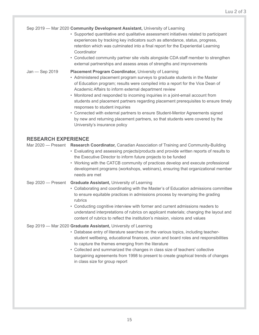#### Sep 2019 — Mar 2020 **Community Development Assistant,** University of Learning

- Supported quantitative and qualitative assessment initiatives related to participant experiences by tracking key indicators such as attendance, status, progress, retention which was culminated into a final report for the Experiential Learning **Coordinator**
- Conducted community partner site visits alongside CDA staff member to strengthen external partnerships and assess areas of strengths and improvements

#### Jan — Sep 2019 **Placement Program Coordinator,** University of Learning

- Administered placement program surveys to graduate students in the Master of Education program; results were compiled into a report for the Vice Dean of Academic Affairs to inform external department review
- Monitored and responded to incoming inquiries in a joint-email account from students and placement partners regarding placement prerequisites to ensure timely responses to student inquiries
- Connected with external partners to ensure Student-Mentor Agreements signed by new and returning placement partners, so that students were covered by the University's insurance policy

#### **RESEARCH EXPERIENCE**

Mar 2020 — Present **Research Coordinator,** Canadian Association of Training and Community-Building

- Evaluating and assessing projects/products and provide written reports of results to the Executive Director to inform future projects to be funded
- Working with the CATCB community of practices develop and execute professional development programs (workshops, webinars), ensuring that organizational member needs are met
- Sep 2020 Present **Graduate Assistant,** University of Learning
	- Collaborating and coordinating with the Master's of Education admissions committee to ensure equitable practices in admissions process by revamping the grading rubrics
	- Conducting cognitive interview with former and current admissions readers to understand interpretations of rubrics on applicant materials; changing the layout and content of rubrics to reflect the institution's mission, visions and values

#### Sep 2019 — Mar 2020 **Graduate Assistant,** University of Learning

- Database entry of literature searches on the various topics, including teacherstudent wellbeing, educational finances, union and board roles and responsibilities to capture the themes emerging from the literature
- Collected and summarized the changes in class size of teachers' collective bargaining agreements from 1998 to present to create graphical trends of changes in class size for group report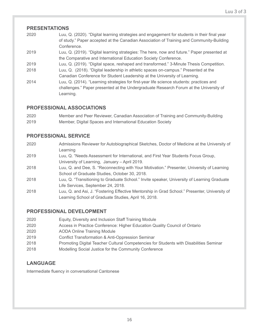#### **PRESENTATIONS**

- 2020 Luu, Q. (2020). "Digital learning strategies and engagement for students in their final year of study." Paper accepted at the Canadian Association of Training and Community-Building Conference.
- 2019 Luu, Q. (2019). "Digital learning strategies: The here, now and future." Paper presented at the Comparative and International Education Society Conference.
- 2019 Luu, Q. (2019). "Digital space, reshaped and transformed." 3-Minute Thesis Competition.
- 2018 Luu, Q. (2018). "Digital leadership in athletic spaces on-campus." Presented at the Canadian Conference for Student Leadership at the University of Learning.
- 2014 Luu, Q. (2014). "Learning strategies for first-year life science students: practices and challenges." Paper presented at the Undergraduate Research Forum at the University of Learning.

#### **PROFESSIONAL ASSOCIATIONS**

2020 Member and Peer Reviewer, Canadian Association of Training and Community-Building 2019 Member, Digital Spaces and International Education Society

#### **PROFESSIONAL SERVICE**

- 2020 Admissions Reviewer for Autobiographical Sketches, Doctor of Medicine at the University of Learning
- 2019 Luu, Q. "Needs Assessment for International, and First Year Students Focus Group, University of Learning, January – April 2019.
- 2018 Luu, Q. and Dee, S. "Reconnecting with Your Motivation." Presenter, University of Learning School of Graduate Studies, October 30, 2018.
- 2018 Luu, Q. "Transitioning to Graduate School." Invite speaker, University of Learning Graduate Life Services, September 24, 2018.
- 2018 Luu, Q. and Asi, J. "Fostering Effective Mentorship in Grad School." Presenter, University of Learning School of Graduate Studies, April 16, 2018.

#### **PROFESSIONAL DEVELOPMENT**

- 2020 Equity, Diversity and Inclusion Staff Training Module
- 2020 Access in Practice Conference: Higher Education Quality Council of Ontario
- 2020 AODA Online Training Module
- 2019 Conflict Transformation & Anti-Oppression Seminar
- 2018 Promoting Digital Teacher Cultural Competencies for Students with Disabilities Seminar
- 2018 Modelling Social Justice for the Community Conference

#### **LANGUAGE**

Intermediate fluency in conversational Cantonese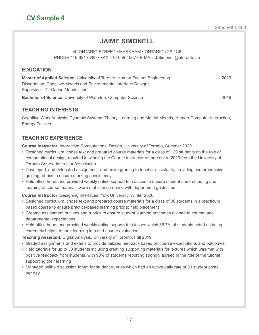## **JAIME SIMONELL**

#### 40 ONTARIO STREET • MARKHAM • ONTARIO L2S 1C6 PHONE 416-321-6789 • FAX 416-656-4567 • E-MAIL J.Simonell@utoronto.ca

#### <span id="page-16-0"></span>**EDUCATION**

**Master of Applied Science, University of Toronto, Human Factors Engineering The Constant Constant Constant Const** Dissertation: Cognitive Models and Environmental Interface Designs Supervisor: Dr. Carine Mendelsson

**Bachelor of Science**, University of Waterloo, Computer Science 2016

#### **TEACHING INTERESTS**

Cognitive Work Analysis, Dynamic Systems Theory, Learning and Mental Models, Human-Computer Interaction, Energy Policies

#### **TEACHING EXPERIENCE**

**Course Instructor**, Interactive Computational Design, University of Toronto, Summer 2020

- Designed curriculum, chose text and prepared course materials for a class of 120 students on the role of computational design, resulted in winning the Course Instructor of the Year in 2020 from the University of Toronto Course Instructor Association
- Developed, and delegated assignment, and exam grading to teacher assistants, providing comprehensive guiding rubrics to ensure marking consistency
- Held office hours and provided weekly online support for classes to ensure student understanding and learning of course materials were met in accordance with department guidelines

**Course Instructor**, Designing Interfaces, York University, Winter 2020

- Designed curriculum, chose text and prepared course materials for a class of 30 students in a practicum based course to ensure practice-based learning prior to field placement
- Created assignment outlines and rubrics to ensure student learning outcomes aligned to course, and departmental expectations
- Held office hours and provided weekly online support for classes which 86.7% of students noted as being extremely helpful to their learning in a mid-course evaluation

**Teaching Assistant,** Digital Analysis, University of Toronto, Fall 2019

- Graded assignments and exams to provide tailored feedback based on course expectations and outcomes
- Held tutorials for up to 30 students including creating supporting materials for lectures which was met with positive feedback from students, with 90% of students reporting strongly agreed in the role of the tutorial supporting their learning
- Managed online discussion forum for student queries which had an active daily rate of 30 student posts per day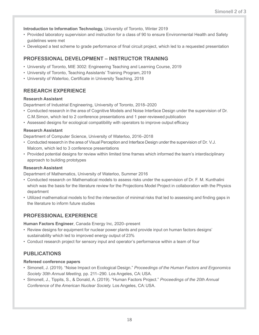**Introduction to Information Technology,** University of Toronto, Winter 2019

- Provided laboratory supervision and instruction for a class of 90 to ensure Environmental Health and Safety guidelines were met
- Developed a test scheme to grade performance of final circuit project, which led to a requested presentation

#### **PROFESSIONAL DEVELOPMENT – INSTRUCTOR TRAINING**

- University of Toronto, MIE 3002: Engineering Teaching and Learning Course, 2019
- University of Toronto, Teaching Assistants' Training Program, 2019
- University of Waterloo, Certificate in University Teaching, 2018

#### **RESEARCH EXPERIENCE**

#### **Research Assistant**

Department of Industrial Engineering, University of Toronto, 2018–2020

- Conducted research in the area of Cognitive Models and Noise Interface Design under the supervision of Dr. C.M.Simon, which led to 2 conference presentations and 1 peer-reviewed publication
- Assessed designs for ecological compatibility with operators to improve output efficacy

#### **Research Assistant**

Department of Computer Science, University of Waterloo, 2016–2018

- Conducted research in the area of Visual Perception and Interface Design under the supervision of Dr. V.J. Malcom, which led to 3 conference presentations
- Provided potential designs for review within limited time frames which informed the team's interdisciplinary approach to building prototypes

#### **Research Assistant**

Department of Mathematics, University of Waterloo, Summer 2016

- Conducted research on Mathematical models to assess risks under the supervision of Dr. F. M. Kunthalini which was the basis for the literature review for the Projections Model Project in collaboration with the Physics department
- Utilized mathematical models to find the intersection of minimal risks that led to assessing and finding gaps in the literature to inform future studies

#### **PROFESSIONAL EXPERIENCE**

**Human Factors Engineer**, Canada Energy Inc, 2020–present

- Review designs for equipment for nuclear power plants and provide input on human factors designs' sustainability which led to improved energy output of 23%
- Conduct research project for sensory input and operator's performance within a team of four

#### **PUBLICATIONS**

#### **Refereed conference papers**

- Simonell, J. (2019). "Noise Impact on Ecological Design." *Proceedings of the Human Factors and Ergonomics Society 30th Annual Meeting,* pp. 211–290. Los Angeles, CA: USA.
- Simonell, J., Tippits, S., & Donald, A. (2019). "Human Factors Project." *Proceedings of the 20th Annual Conference of the American Nuclear Society.* Los Angeles, CA: USA.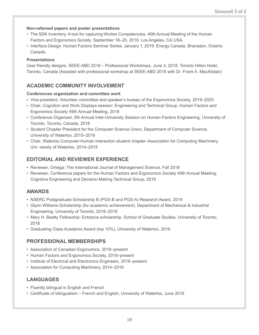#### **Non-refereed papers and poster presentations**

- The SDK Inventory: A tool for capturing Worker Competencies. 40th Annual Meeting of the Human Factors and Ergonomics Society. September 16–20, 2019. Los Angeles, CA: USA.
- Interface Design. Human Factors Seminar Series. January 1, 2019. Energy Canada, Brampton, Ontario: Canada.

#### **Presentations**

User friendly designs. SEEE-ABD 2018 – Professional Workshops, June 3, 2018. Toronto Hilton Hotel, Toronto, Canada (Assisted with professional workshop at SEEE-ABD 2018 with Dr. Frank A. MacAlistair)

#### **ACADEMIC COMMUNITY INVOLVEMENT**

#### **Conferences organization and committee work**

- Vice-president, Volunteer committee and speaker's bureau of the Ergonomics Society, 2019–2020
- Chair, Cognition and Work Displays session: Engineering and Technical Group, Human Factors and Ergonomics Society 49th Annual Meeting, 2018
- Conference Organizer, 5th Annual Inter-University Session on Human Factors Engineering, University of Toronto, Toronto, Canada, 2018
- Student Chapter President for the Computer Science Union, Department of Computer Science, University of Waterloo, 2015–2016
- Chair, Waterloo Computer-Human Interaction student chapter–Association for Computing Machinery, Uni- versity of Waterloo, 2014–2015

#### **EDITORIAL AND REVIEWER EXPERIENCE**

- Reviewer, Omega: The International Journal of Management Science, Fall 2018
- Reviewer, Conference papers for the Human Factors and Ergonomics Society 49th Annual Meeting, Cognitive Engineering and Decision-Making Technical Group, 2018

#### **AWARDS**

- NSERC Postgraduate Scholarship B (PGS-B and PGS-A) Research Award, 2019
- Glyim Williams Scholarship (for academic achievement). Department of Mechanical & Industrial Engineering, University of Toronto, 2018–2019
- Mary H. Beatty Fellowship: Entrance scholarship. School of Graduate Studies, University of Toronto, 2018
- Graduating Class Academic Award (top 10%), University of Waterloo, 2016

#### **PROFESSIONAL MEMBERSHIPS**

- Association of Canadian Ergonomics, 2018–present
- Human Factors and Ergonomics Society, 2018–present
- Institute of Electrical and Electronics Engineers, 2016–present
- Association for Computing Machinery, 2014–2016

#### **LANGUAGES**

- Fluently bilingual in English and French
- Certificate of bilingualism French and English, University of Waterloo, June 2016